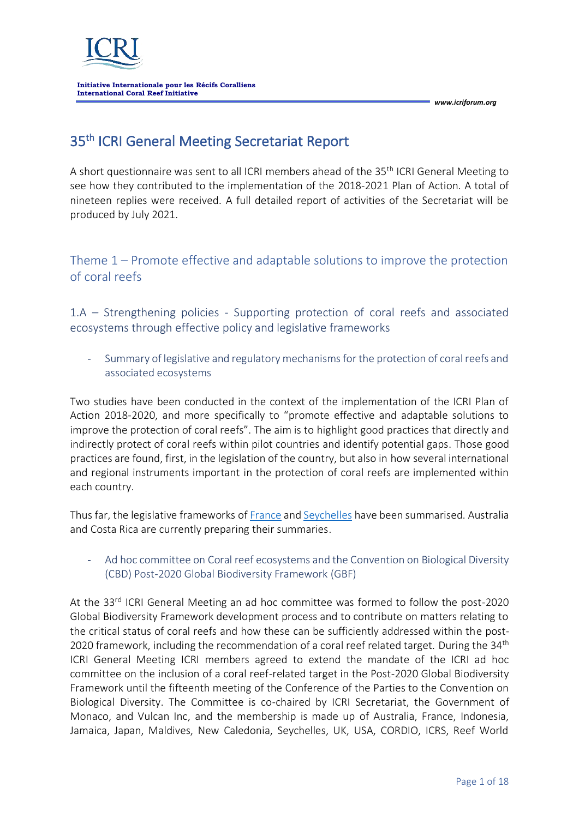

# 35<sup>th</sup> ICRI General Meeting Secretariat Report

A short questionnaire was sent to all ICRI members ahead of the 35<sup>th</sup> ICRI General Meeting to see how they contributed to the implementation of the 2018-2021 Plan of Action. A total of nineteen replies were received. A full detailed report of activities of the Secretariat will be produced by July 2021.

## Theme 1 – Promote effective and adaptable solutions to improve the protection of coral reefs

1.A – Strengthening policies - Supporting protection of coral reefs and associated ecosystems through effective policy and legislative frameworks

- Summary of legislative and regulatory mechanisms for the protection of coral reefs and associated ecosystems

Two studies have been conducted in the context of the implementation of the ICRI Plan of Action 2018-2020, and more specifically to "promote effective and adaptable solutions to improve the protection of coral reefs". The aim is to highlight good practices that directly and indirectly protect of coral reefs within pilot countries and identify potential gaps. Those good practices are found, first, in the legislation of the country, but also in how several international and regional instruments important in the protection of coral reefs are implemented within each country.

Thus far, the legislative frameworks o[f France](https://www.icriforum.org/documents/summary-of-legislative-and-regulatory-mechanisms-for-the-protection-of-coral-reefs-and-associated-ecosystems-france/) an[d Seychelles](https://www.icriforum.org/documents/summary-of-legislative-and-regulatory-mechanisms-for-the-protection-of-coral-reefs-and-associated-ecosystems-seychelles/) have been summarised. Australia and Costa Rica are currently preparing their summaries.

### - Ad hoc committee on Coral reef ecosystems and the Convention on Biological Diversity (CBD) Post-2020 Global Biodiversity Framework (GBF)

At the 33<sup>rd</sup> ICRI General Meeting an ad hoc committee was formed to follow the post-2020 Global Biodiversity Framework development process and to contribute on matters relating to the critical status of coral reefs and how these can be sufficiently addressed within the post-2020 framework, including the recommendation of a coral reef related target. During the  $34<sup>th</sup>$ ICRI General Meeting ICRI members agreed to extend the mandate of the ICRI ad hoc committee on the inclusion of a coral reef-related target in the Post-2020 Global Biodiversity Framework until the fifteenth meeting of the Conference of the Parties to the Convention on Biological Diversity. The Committee is co-chaired by ICRI Secretariat, the Government of Monaco, and Vulcan Inc, and the membership is made up of Australia, France, Indonesia, Jamaica, Japan, Maldives, New Caledonia, Seychelles, UK, USA, CORDIO, ICRS, Reef World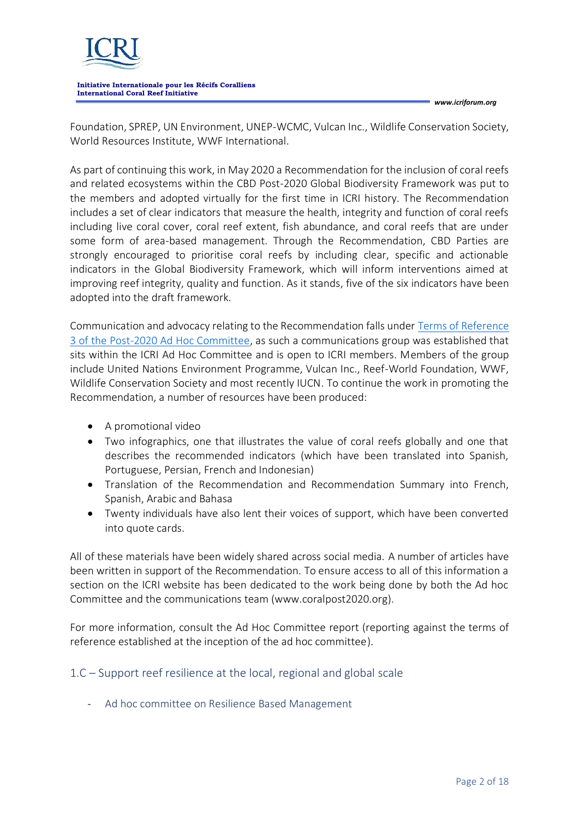

*www.icriforum.org*

Foundation, SPREP, UN Environment, UNEP-WCMC, Vulcan Inc., Wildlife Conservation Society, World Resources Institute, WWF International.

As part of continuing this work, in May 2020 a Recommendation for the inclusion of coral reefs and related ecosystems within the CBD Post-2020 Global Biodiversity Framework was put to the members and adopted virtually for the first time in ICRI history. The Recommendation includes a set of clear indicators that measure the health, integrity and function of coral reefs including live coral cover, coral reef extent, fish abundance, and coral reefs that are under some form of area-based management. Through the Recommendation, CBD Parties are strongly encouraged to prioritise coral reefs by including clear, specific and actionable indicators in the Global Biodiversity Framework, which will inform interventions aimed at improving reef integrity, quality and function. As it stands, five of the six indicators have been adopted into the draft framework.

Communication and advocacy relating to the Recommendation falls under [Terms of Reference](https://www.icriforum.org/terms-of-reference-for-the-ad-hoc-committee-on-developing-a-recommendation-for-a-post-2020-coral-reef-target/)  [3 of the Post-2020 Ad Hoc Committee,](https://www.icriforum.org/terms-of-reference-for-the-ad-hoc-committee-on-developing-a-recommendation-for-a-post-2020-coral-reef-target/) as such a communications group was established that sits within the ICRI Ad Hoc Committee and is open to ICRI members. Members of the group include United Nations Environment Programme, Vulcan Inc., Reef-World Foundation, WWF, Wildlife Conservation Society and most recently IUCN. To continue the work in promoting the Recommendation, a number of resources have been produced:

- A promotional video
- Two infographics, one that illustrates the value of coral reefs globally and one that describes the recommended indicators (which have been translated into Spanish, Portuguese, Persian, French and Indonesian)
- Translation of the Recommendation and Recommendation Summary into French, Spanish, Arabic and Bahasa
- Twenty individuals have also lent their voices of support, which have been converted into quote cards.

All of these materials have been widely shared across social media. A number of articles have been written in support of the Recommendation. To ensure access to all of this information a section on the ICRI website has been dedicated to the work being done by both the Ad hoc Committee and the communications team (www.coralpost2020.org).

For more information, consult the Ad Hoc Committee report (reporting against the terms of reference established at the inception of the ad hoc committee).

1.C – Support reef resilience at the local, regional and global scale

- Ad hoc committee on Resilience Based Management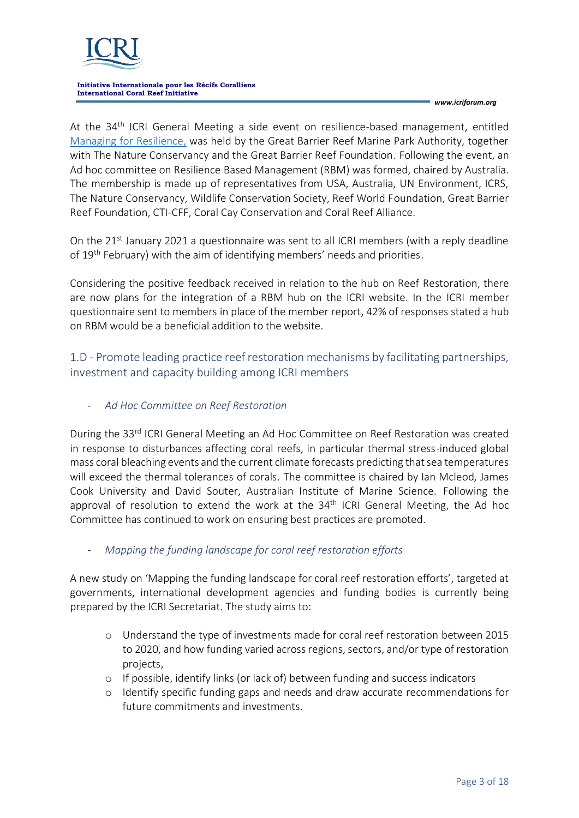

*www.icriforum.org*

At the 34th ICRI General Meeting a side event on resilience-based management, entitled [Managing for Resilience,](https://www.icriforum.org/events/34th-icri-general-meeting/) was held by the Great Barrier Reef Marine Park Authority, together with The Nature Conservancy and the Great Barrier Reef Foundation. Following the event, an Ad hoc committee on Resilience Based Management (RBM) was formed, chaired by Australia. The membership is made up of representatives from USA, Australia, UN Environment, ICRS, The Nature Conservancy, Wildlife Conservation Society, Reef World Foundation, Great Barrier Reef Foundation, CTI-CFF, Coral Cay Conservation and Coral Reef Alliance.

On the 21<sup>st</sup> January 2021 a questionnaire was sent to all ICRI members (with a reply deadline of 19<sup>th</sup> February) with the aim of identifying members' needs and priorities.

Considering the positive feedback received in relation to the hub on Reef Restoration, there are now plans for the integration of a RBM hub on the ICRI website. In the ICRI member questionnaire sent to members in place of the member report, 42% of responses stated a hub on RBM would be a beneficial addition to the website.

1.D - Promote leading practice reef restoration mechanisms by facilitating partnerships, investment and capacity building among ICRI members

- *Ad Hoc Committee on Reef Restoration*

During the 33<sup>rd</sup> ICRI General Meeting an Ad Hoc Committee on Reef Restoration was created in response to disturbances affecting coral reefs, in particular thermal stress-induced global mass coral bleaching events and the current climate forecasts predicting that sea temperatures will exceed the thermal tolerances of corals. The committee is chaired by Ian Mcleod, James Cook University and David Souter, Australian Institute of Marine Science. Following the approval of resolution to extend the work at the 34<sup>th</sup> ICRI General Meeting, the Ad hoc Committee has continued to work on ensuring best practices are promoted.

## - *Mapping the funding landscape for coral reef restoration efforts*

A new study on 'Mapping the funding landscape for coral reef restoration efforts', targeted at governments, international development agencies and funding bodies is currently being prepared by the ICRI Secretariat. The study aims to:

- o Understand the type of investments made for coral reef restoration between 2015 to 2020, and how funding varied across regions, sectors, and/or type of restoration projects,
- o If possible, identify links (or lack of) between funding and success indicators
- o Identify specific funding gaps and needs and draw accurate recommendations for future commitments and investments.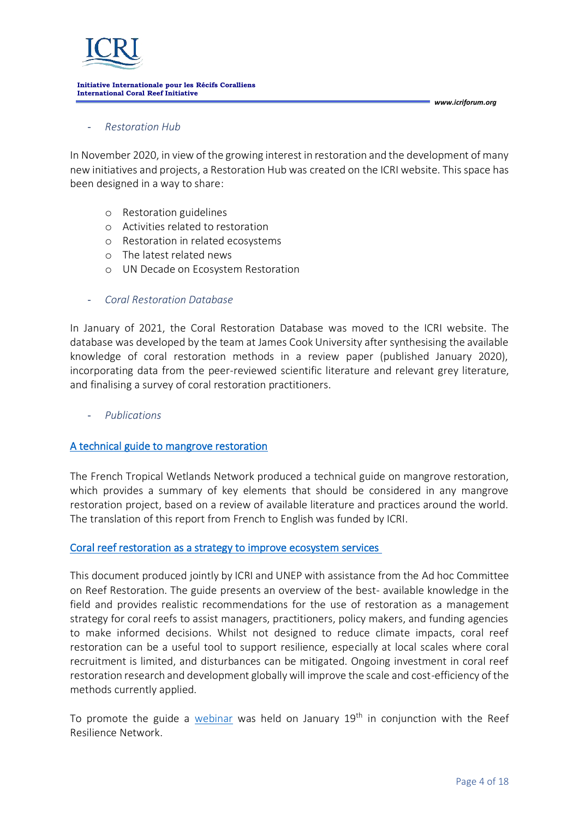

### - *[Restoration Hub](https://www.icriforum.org/restoration/)*

In November 2020, in view of the growing interest in restoration and the development of many new initiatives and projects, a Restoration Hub was created on the ICRI website. This space has been designed in a way to share:

- o Restoration guidelines
- o Activities related to restoration
- o Restoration in related ecosystems
- o The latest related news
- o UN Decade on Ecosystem Restoration
- *Coral Restoration Database*

In January of 2021, the Coral Restoration Database was moved to the ICRI website. The database was developed by the team at James Cook University after synthesising the available knowledge of coral restoration methods in a review paper (published January 2020), incorporating data from the peer-reviewed scientific literature and relevant grey literature, and finalising a survey of coral restoration practitioners.

- *Publications*

### [A technical guide to mangrove restoration](https://www.icriforum.org/a-technical-guide-to-mangrove-restoration/)

The French Tropical Wetlands Network produced a technical guide on mangrove restoration, which provides a summary of key elements that should be considered in any mangrove restoration project, based on a review of available literature and practices around the world. The translation of this report from French to English was funded by ICRI.

### [Coral reef restoration as a strategy to improve ecosystem services](https://www.icriforum.org/wp-content/uploads/2021/01/Hein-et-al.-2020_UNEP-report-1.pdf)

This document produced jointly by ICRI and UNEP with assistance from the Ad hoc Committee on Reef Restoration. The guide presents an overview of the best- available knowledge in the field and provides realistic recommendations for the use of restoration as a management strategy for coral reefs to assist managers, practitioners, policy makers, and funding agencies to make informed decisions. Whilst not designed to reduce climate impacts, coral reef restoration can be a useful tool to support resilience, especially at local scales where coral recruitment is limited, and disturbances can be mitigated. Ongoing investment in coral reef restoration research and development globally will improve the scale and cost-efficiency of the methods currently applied.

To promote the guide a [webinar](https://reefresilience.org/restoration-report/) was held on January  $19<sup>th</sup>$  in conjunction with the Reef Resilience Network.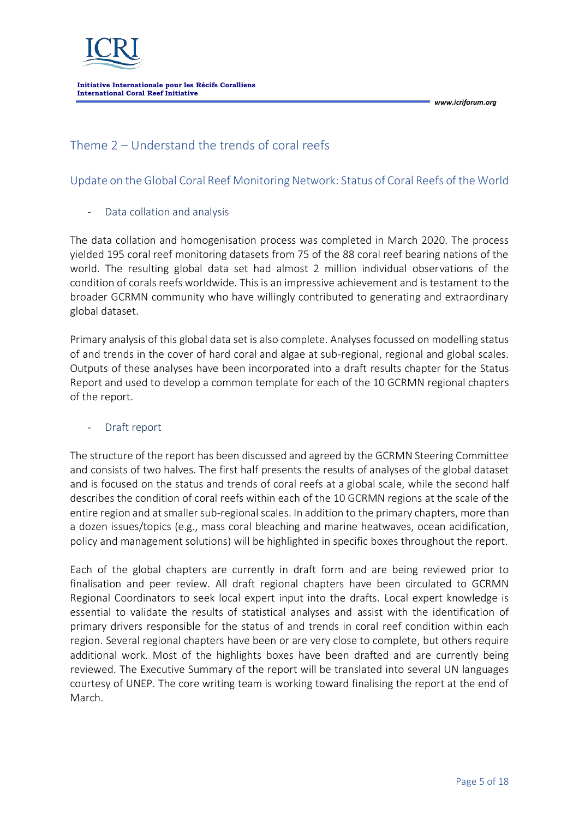

## Theme 2 – Understand the trends of coral reefs

## Update on the Global Coral Reef Monitoring Network: Status of Coral Reefs of the World

### Data collation and analysis

The data collation and homogenisation process was completed in March 2020. The process yielded 195 coral reef monitoring datasets from 75 of the 88 coral reef bearing nations of the world. The resulting global data set had almost 2 million individual observations of the condition of corals reefs worldwide. This is an impressive achievement and is testament to the broader GCRMN community who have willingly contributed to generating and extraordinary global dataset.

Primary analysis of this global data set is also complete. Analyses focussed on modelling status of and trends in the cover of hard coral and algae at sub-regional, regional and global scales. Outputs of these analyses have been incorporated into a draft results chapter for the Status Report and used to develop a common template for each of the 10 GCRMN regional chapters of the report.

### Draft report

The structure of the report has been discussed and agreed by the GCRMN Steering Committee and consists of two halves. The first half presents the results of analyses of the global dataset and is focused on the status and trends of coral reefs at a global scale, while the second half describes the condition of coral reefs within each of the 10 GCRMN regions at the scale of the entire region and at smaller sub-regional scales. In addition to the primary chapters, more than a dozen issues/topics (e.g., mass coral bleaching and marine heatwaves, ocean acidification, policy and management solutions) will be highlighted in specific boxes throughout the report.

Each of the global chapters are currently in draft form and are being reviewed prior to finalisation and peer review. All draft regional chapters have been circulated to GCRMN Regional Coordinators to seek local expert input into the drafts. Local expert knowledge is essential to validate the results of statistical analyses and assist with the identification of primary drivers responsible for the status of and trends in coral reef condition within each region. Several regional chapters have been or are very close to complete, but others require additional work. Most of the highlights boxes have been drafted and are currently being reviewed. The Executive Summary of the report will be translated into several UN languages courtesy of UNEP. The core writing team is working toward finalising the report at the end of March.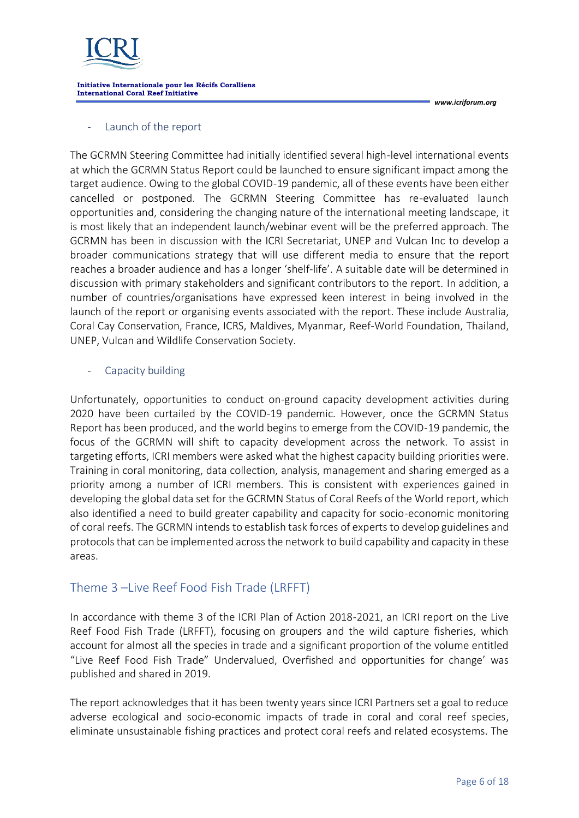

*www.icriforum.org*

### Launch of the report

The GCRMN Steering Committee had initially identified several high-level international events at which the GCRMN Status Report could be launched to ensure significant impact among the target audience. Owing to the global COVID-19 pandemic, all of these events have been either cancelled or postponed. The GCRMN Steering Committee has re-evaluated launch opportunities and, considering the changing nature of the international meeting landscape, it is most likely that an independent launch/webinar event will be the preferred approach. The GCRMN has been in discussion with the ICRI Secretariat, UNEP and Vulcan Inc to develop a broader communications strategy that will use different media to ensure that the report reaches a broader audience and has a longer 'shelf-life'. A suitable date will be determined in discussion with primary stakeholders and significant contributors to the report. In addition, a number of countries/organisations have expressed keen interest in being involved in the launch of the report or organising events associated with the report. These include Australia, Coral Cay Conservation, France, ICRS, Maldives, Myanmar, Reef-World Foundation, Thailand, UNEP, Vulcan and Wildlife Conservation Society.

### Capacity building

Unfortunately, opportunities to conduct on-ground capacity development activities during 2020 have been curtailed by the COVID-19 pandemic. However, once the GCRMN Status Report has been produced, and the world begins to emerge from the COVID-19 pandemic, the focus of the GCRMN will shift to capacity development across the network. To assist in targeting efforts, ICRI members were asked what the highest capacity building priorities were. Training in coral monitoring, data collection, analysis, management and sharing emerged as a priority among a number of ICRI members. This is consistent with experiences gained in developing the global data set for the GCRMN Status of Coral Reefs of the World report, which also identified a need to build greater capability and capacity for socio-economic monitoring of coral reefs. The GCRMN intends to establish task forces of experts to develop guidelines and protocols that can be implemented across the network to build capability and capacity in these areas.

## Theme 3 –Live Reef Food Fish Trade (LRFFT)

In accordance with theme 3 of the ICRI Plan of Action 2018-2021, an ICRI report on the Live Reef Food Fish Trade (LRFFT), focusing on groupers and the wild capture fisheries, which account for almost all the species in trade and a significant proportion of the volume entitled "Live Reef Food Fish Trade" Undervalued, Overfished and opportunities for change' was published and shared in 2019.

The report acknowledges that it has been twenty years since ICRI Partners set a goal to reduce adverse ecological and socio-economic impacts of trade in coral and coral reef species, eliminate unsustainable fishing practices and protect coral reefs and related ecosystems. The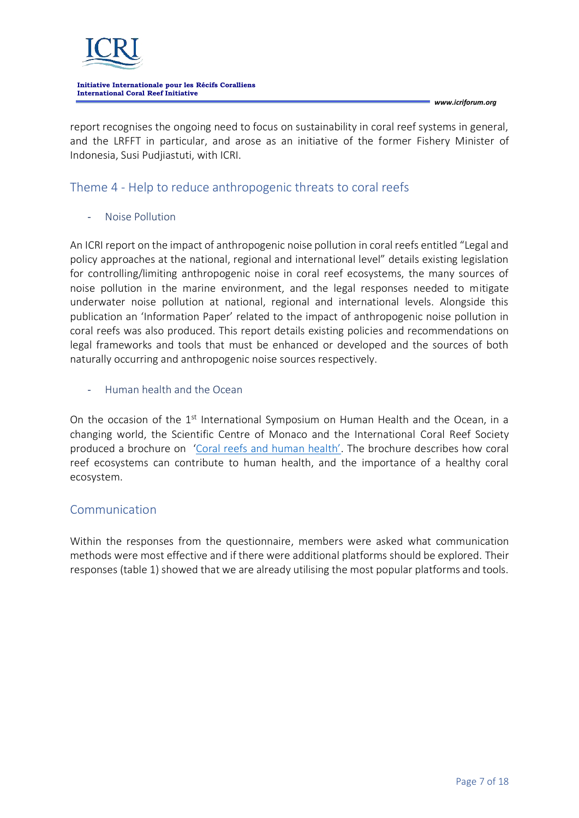

*www.icriforum.org*

report recognises the ongoing need to focus on sustainability in coral reef systems in general, and the LRFFT in particular, and arose as an initiative of the former Fishery Minister of Indonesia, Susi Pudjiastuti, with ICRI.

## Theme 4 - Help to reduce anthropogenic threats to coral reefs

- Noise Pollution

An ICRI report on the impact of anthropogenic noise pollution in coral reefs entitled "Legal and policy approaches at the national, regional and international level" details existing legislation for controlling/limiting anthropogenic noise in coral reef ecosystems, the many sources of noise pollution in the marine environment, and the legal responses needed to mitigate underwater noise pollution at national, regional and international levels. Alongside this publication an 'Information Paper' related to the impact of anthropogenic noise pollution in coral reefs was also produced. This report details existing policies and recommendations on legal frameworks and tools that must be enhanced or developed and the sources of both naturally occurring and anthropogenic noise sources respectively.

- Human health and the Ocean

On the occasion of the 1<sup>st</sup> International Symposium on Human Health and the Ocean, in a changing world, the Scientific Centre of Monaco and the International Coral Reef Society produced a brochure on ['Coral reefs and human health'](https://www.icriforum.org/wp-content/uploads/2020/11/Coral-reefs-human-health_DIGITAL-27Nov.pdf). The brochure describes how coral reef ecosystems can contribute to human health, and the importance of a healthy coral ecosystem.

## Communication

Within the responses from the questionnaire, members were asked what communication methods were most effective and if there were additional platforms should be explored. Their responses (table 1) showed that we are already utilising the most popular platforms and tools.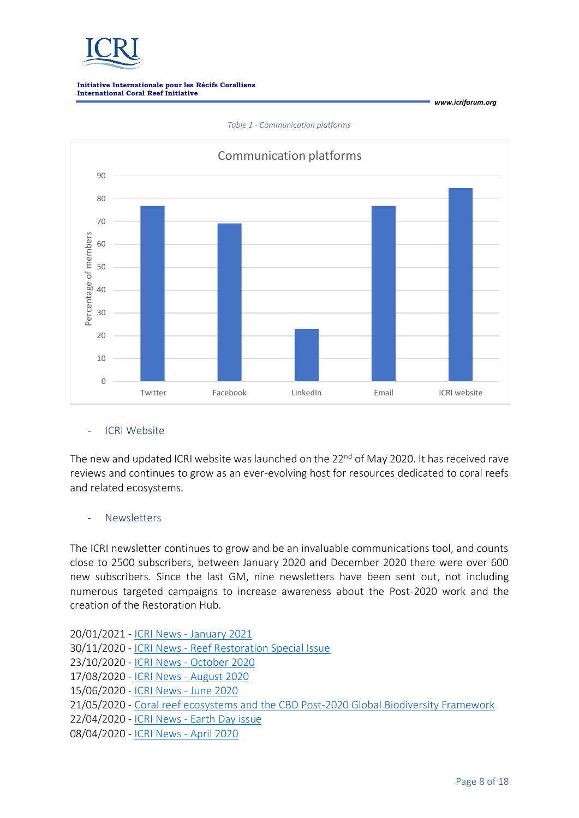

Communication platforms90 80 70 Percentage of members Percentage of members 60 50  $40$ 30 20 10  $\Omega$ Twitter Facebook LinkedIn Email ICRI website

*Table 1 - Communication platforms*

### - ICRI Website

The new and updated ICRI website was launched on the 22<sup>nd</sup> of May 2020. It has received rave reviews and continues to grow as an ever-evolving host for resources dedicated to coral reefs and related ecosystems.

### **Newsletters**

The ICRI newsletter continues to grow and be an invaluable communications tool, and counts close to 2500 subscribers, between January 2020 and December 2020 there were over 600 new subscribers. Since the last GM, nine newsletters have been sent out, not including numerous targeted campaigns to increase awareness about the Post-2020 work and the creation of the Restoration Hub.

- 20/01/2021 ICRI News [January 2021](http://us17.campaign-archive.com/?u=c6fd4c848938a68c967e5d257&id=9ed4868567)
- 30/11/2020 ICRI News [Reef Restoration Special Issue](http://us17.campaign-archive.com/?u=c6fd4c848938a68c967e5d257&id=7ab3e0bb96)
- 23/10/2020 ICRI News [October 2020](http://us17.campaign-archive.com/?u=c6fd4c848938a68c967e5d257&id=623936b1fc)
- 17/08/2020 ICRI News [August 2020](http://us17.campaign-archive.com/?u=c6fd4c848938a68c967e5d257&id=4e37287ae6)
- 15/06/2020 [ICRI News -](http://us17.campaign-archive.com/?u=c6fd4c848938a68c967e5d257&id=67e41011d4) June 2020
- 21/05/2020 [Coral reef ecosystems and the CBD Post-2020 Global Biodiversity Framework](http://us17.campaign-archive.com/?u=c6fd4c848938a68c967e5d257&id=f7208aff74)
- 22/04/2020 ICRI News [Earth Day issue](http://us17.campaign-archive.com/?u=c6fd4c848938a68c967e5d257&id=2566579004)
- 08/04/2020 [ICRI News -](http://us17.campaign-archive.com/?u=c6fd4c848938a68c967e5d257&id=f5570dd608) April 2020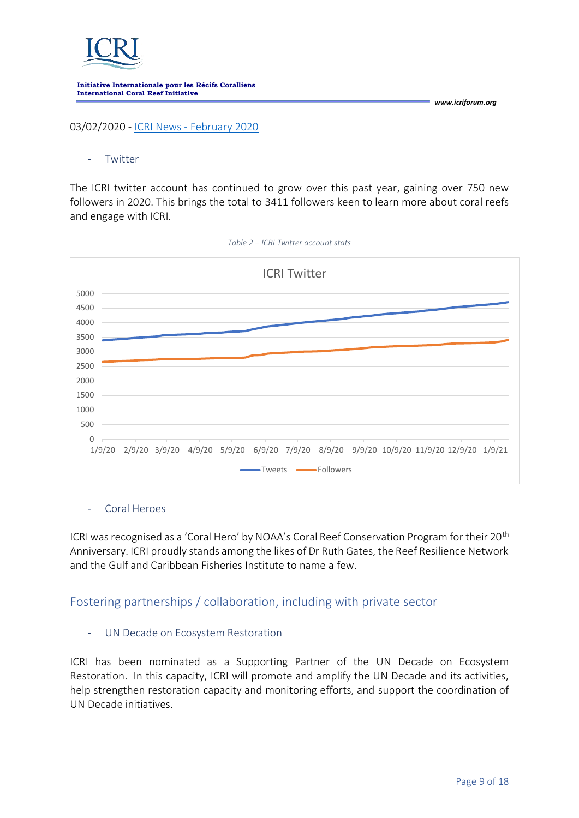

03/02/2020 - ICRI News - [February 2020](http://us17.campaign-archive.com/?u=c6fd4c848938a68c967e5d257&id=793cad8d30)

### **Twitter**

The ICRI twitter account has continued to grow over this past year, gaining over 750 new followers in 2020. This brings the total to 3411 followers keen to learn more about coral reefs and engage with ICRI.



*Table 2 – ICRI Twitter account stats*

### - Coral Heroes

ICRI was recognised as a 'Coral Hero' by NOAA's Coral Reef Conservation Program for their 20th Anniversary. ICRI proudly stands among the likes of Dr Ruth Gates, the Reef Resilience Network and the Gulf and Caribbean Fisheries Institute to name a few.

## Fostering partnerships / collaboration, including with private sector

### UN Decade on Ecosystem Restoration

ICRI has been nominated as a Supporting Partner of the UN Decade on Ecosystem Restoration. In this capacity, ICRI will promote and amplify the UN Decade and its activities, help strengthen restoration capacity and monitoring efforts, and support the coordination of UN Decade initiatives.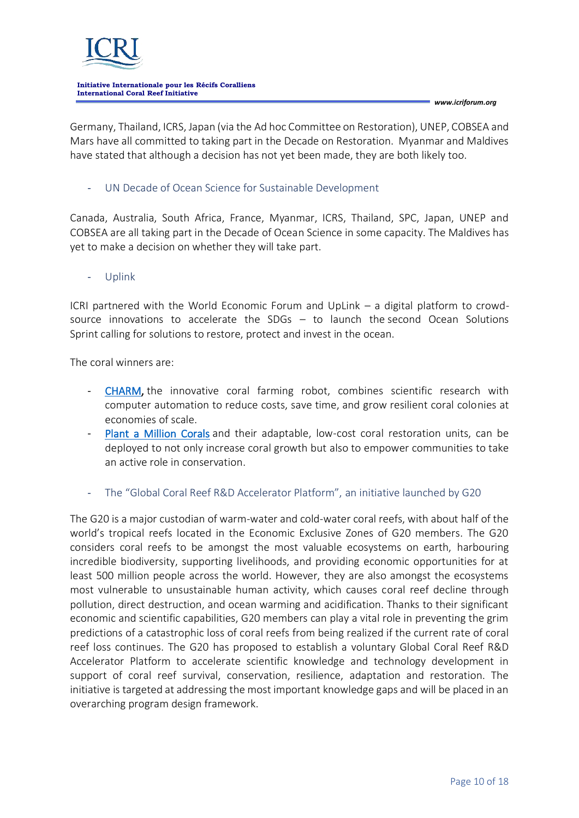

*www.icriforum.org*

Germany, Thailand, ICRS, Japan (via the Ad hoc Committee on Restoration), UNEP, COBSEA and Mars have all committed to taking part in the Decade on Restoration. Myanmar and Maldives have stated that although a decision has not yet been made, they are both likely too.

UN Decade of Ocean Science for Sustainable Development

Canada, Australia, South Africa, France, Myanmar, ICRS, Thailand, SPC, Japan, UNEP and COBSEA are all taking part in the Decade of Ocean Science in some capacity. The Maldives has yet to make a decision on whether they will take part.

- Uplink

ICRI partnered with the World Economic Forum and UpLink – a digital platform to crowdsource innovations to accelerate the SDGs – to launch the [second Ocean Solutions](https://www.icriforum.org/launch-of-the-uplink-ocean-solutions-sprint/)  [Sprint](https://www.icriforum.org/launch-of-the-uplink-ocean-solutions-sprint/) calling for solutions to restore, protect and invest in the ocean.

The coral winners are:

- [CHARM,](https://uplink.weforum.org/uplink/s/uplink-contribution/a012o00001OSlCGAA1/charm-the-coral-farming-robot) the innovative coral farming robot, combines scientific research with computer automation to reduce costs, save time, and grow resilient coral colonies at economies of scale.
- [Plant a Million Corals](https://uplink.weforum.org/uplink/s/uplink-contribution/a012o00001OSkNFAA1/plant-a-million-corals) and their adaptable, low-cost coral restoration units, can be deployed to not only increase coral growth but also to empower communities to take an active role in conservation.
- The "Global Coral Reef R&D Accelerator Platform", an initiative launched by G20

The G20 is a major custodian of warm-water and cold-water coral reefs, with about half of the world's tropical reefs located in the Economic Exclusive Zones of G20 members. The G20 considers coral reefs to be amongst the most valuable ecosystems on earth, harbouring incredible biodiversity, supporting livelihoods, and providing economic opportunities for at least 500 million people across the world. However, they are also amongst the ecosystems most vulnerable to unsustainable human activity, which causes coral reef decline through pollution, direct destruction, and ocean warming and acidification. Thanks to their significant economic and scientific capabilities, G20 members can play a vital role in preventing the grim predictions of a catastrophic loss of coral reefs from being realized if the current rate of coral reef loss continues. The G20 has proposed to establish a voluntary Global Coral Reef R&D Accelerator Platform to accelerate scientific knowledge and technology development in support of coral reef survival, conservation, resilience, adaptation and restoration. The initiative is targeted at addressing the most important knowledge gaps and will be placed in an overarching program design framework.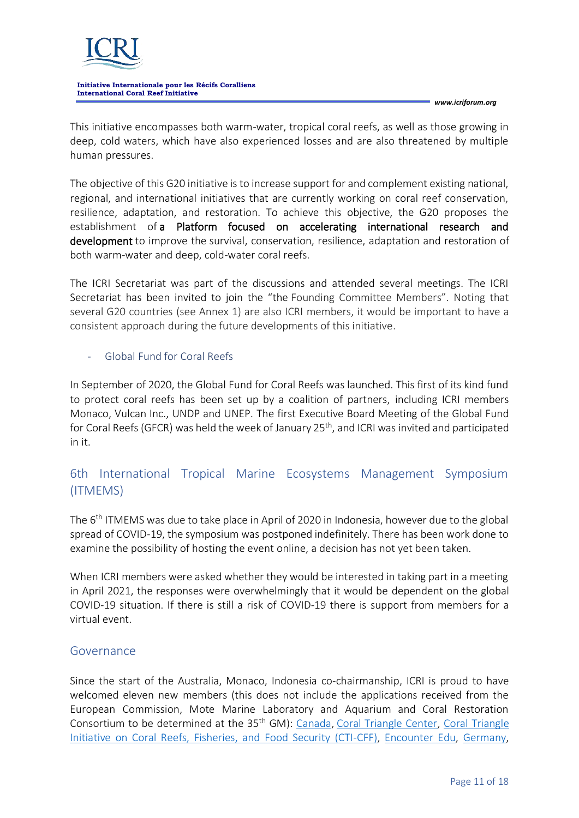

*www.icriforum.org*

This initiative encompasses both warm-water, tropical coral reefs, as well as those growing in deep, cold waters, which have also experienced losses and are also threatened by multiple human pressures.

The objective of this G20 initiative is to increase support for and complement existing national, regional, and international initiatives that are currently working on coral reef conservation, resilience, adaptation, and restoration. To achieve this objective, the G20 proposes the establishment of a Platform focused on accelerating international research and development to improve the survival, conservation, resilience, adaptation and restoration of both warm-water and deep, cold-water coral reefs.

The ICRI Secretariat was part of the discussions and attended several meetings. The ICRI Secretariat has been invited to join the "the Founding Committee Members". Noting that several G20 countries (see Annex 1) are also ICRI members, it would be important to have a consistent approach during the future developments of this initiative.

- Global Fund for Coral Reefs

In September of 2020, the Global Fund for Coral Reefs was launched. This first of its kind fund to protect coral reefs has been set up by a coalition of partners, including ICRI members Monaco, Vulcan Inc., UNDP and UNEP. The first Executive Board Meeting of the Global Fund for Coral Reefs (GFCR) was held the week of January 25<sup>th</sup>, and ICRI was invited and participated in it.

## 6th International Tropical Marine Ecosystems Management Symposium (ITMEMS)

The 6<sup>th</sup> ITMEMS was due to take place in April of 2020 in Indonesia, however due to the global spread of COVID-19, the symposium was postponed indefinitely. There has been work done to examine the possibility of hosting the event online, a decision has not yet been taken.

When ICRI members were asked whether they would be interested in taking part in a meeting in April 2021, the responses were overwhelmingly that it would be dependent on the global COVID-19 situation. If there is still a risk of COVID-19 there is support from members for a virtual event.

### Governance

Since the start of the Australia, Monaco, Indonesia co-chairmanship, ICRI is proud to have welcomed eleven new members (this does not include the applications received from the European Commission, Mote Marine Laboratory and Aquarium and Coral Restoration Consortium to be determined at the 35<sup>th</sup> GM): [Canada,](https://www.icriforum.org/members/canada/) [Coral Triangle Center,](https://www.icriforum.org/members/coral-triangle-center/) Coral Triangle [Initiative on Coral Reefs, Fisheries, and Food Security \(CTI-CFF\),](https://www.icriforum.org/members/coral-triangle-initiative-for-coral-reefs-fisheries-and-food-security-cti-cff/) [Encounter Edu,](https://www.icriforum.org/members/encounter-edu/) [Germany,](https://www.icriforum.org/members/germany/)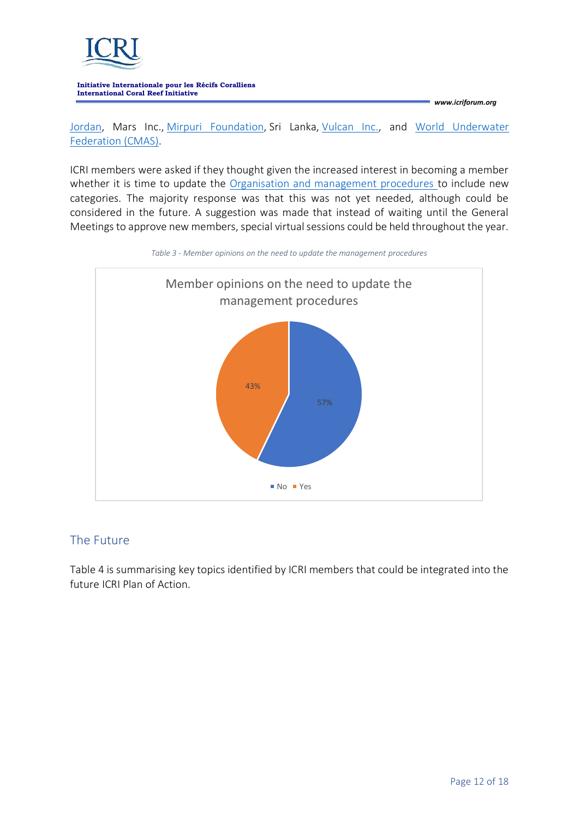

*www.icriforum.org*

[Jordan,](https://www.icriforum.org/members/jordan/) Mars Inc., [Mirpuri Foundation,](https://www.icriforum.org/members/mirpuri-foundation/) Sri Lanka, [Vulcan Inc.,](https://www.icriforum.org/members/vulcan/) and [World Underwater](https://www.icriforum.org/members/confederation-mondiale-des-activites-subaquatiques/)  [Federation \(CMAS\).](https://www.icriforum.org/members/confederation-mondiale-des-activites-subaquatiques/)

ICRI members were asked if they thought given the increased interest in becoming a member whether it is time to update the [Organisation and management procedures](https://www.icriforum.org/documents/organization-and-management-procedures-for-the-international-coral-reef-initiative-2018/) to include new categories. The majority response was that this was not yet needed, although could be considered in the future. A suggestion was made that instead of waiting until the General Meetings to approve new members, special virtual sessions could be held throughout the year.



### *Table 3 - Member opinions on the need to update the management procedures*

## The Future

Table 4 is summarising key topics identified by ICRI members that could be integrated into the future ICRI Plan of Action.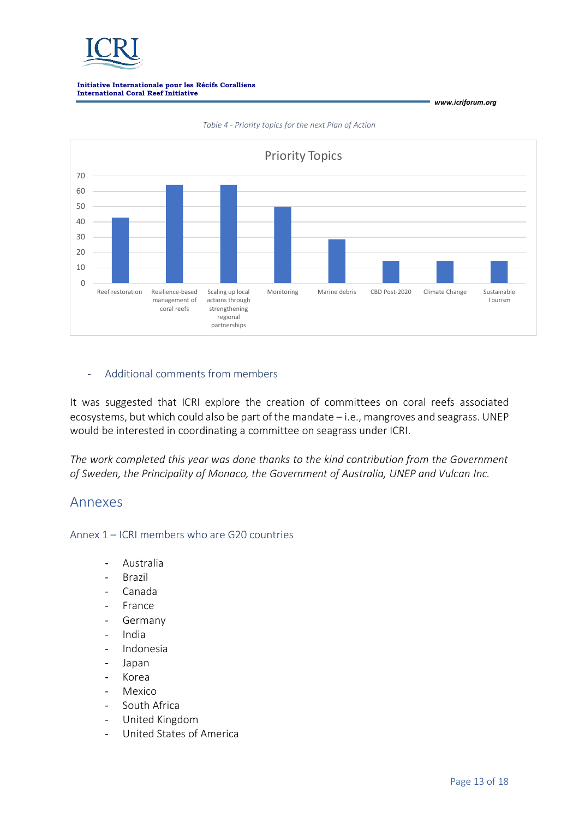



*Table 4 - Priority topics for the next Plan of Action*

### - Additional comments from members

It was suggested that ICRI explore the creation of committees on coral reefs associated ecosystems, but which could also be part of the mandate – i.e., mangroves and seagrass. UNEP would be interested in coordinating a committee on seagrass under ICRI.

*The work completed this year was done thanks to the kind contribution from the Government of Sweden, the Principality of Monaco, the Government of Australia, UNEP and Vulcan Inc.*

### Annexes

Annex 1 – ICRI members who are G20 countries

- Australia
- **Brazil**
- Canada
- France
- **Germany**
- India
- Indonesia
- Japan
- Korea
- **Mexico**
- South Africa
- United Kingdom
- United States of America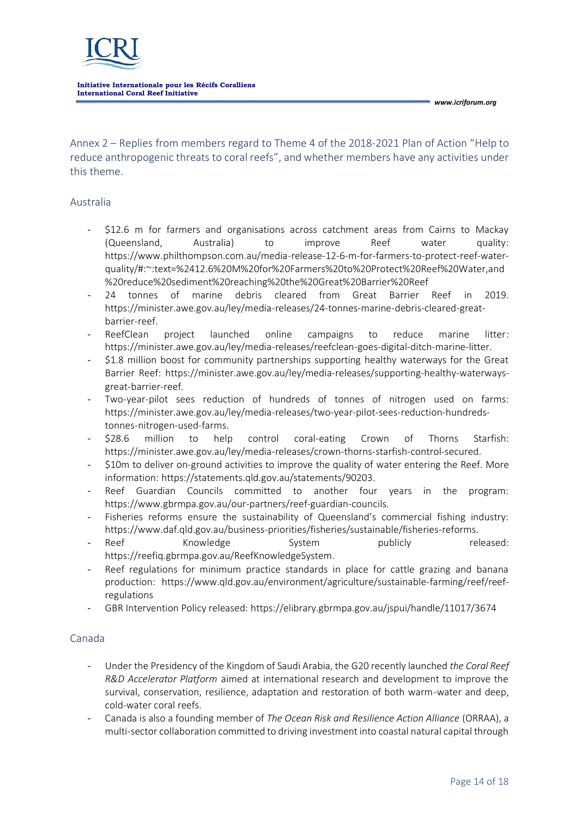

Annex 2 – Replies from members regard to Theme 4 of the 2018-2021 Plan of Action "Help to reduce anthropogenic threats to coral reefs", and whether members have any activities under this theme.

### Australia

- [\\$12.6 m for farmers and organisations across catchment areas from Cairns to Mackay](https://minister.awe.gov.au/ley/media-releases/12-6m-farmers-protect-reef-water-quality)  [\(Queensland, Australia\) to improve Reef water quality:](https://minister.awe.gov.au/ley/media-releases/12-6m-farmers-protect-reef-water-quality) [https://www.philthompson.com.au/media-release-12-6-m-for-farmers-to-protect-reef-water](https://www.philthompson.com.au/media-release-12-6-m-for-farmers-to-protect-reef-water-quality/#:~:text=%2412.6%20M%20for%20Farmers%20to%20Protect%20Reef%20Water,and%20reduce%20sediment%20reaching%20the%20Great%20Barrier%20Reef)[quality/#:~:text=%2412.6%20M%20for%20Farmers%20to%20Protect%20Reef%20Water,and](https://www.philthompson.com.au/media-release-12-6-m-for-farmers-to-protect-reef-water-quality/#:~:text=%2412.6%20M%20for%20Farmers%20to%20Protect%20Reef%20Water,and%20reduce%20sediment%20reaching%20the%20Great%20Barrier%20Reef) [%20reduce%20sediment%20reaching%20the%20Great%20Barrier%20Reef](https://www.philthompson.com.au/media-release-12-6-m-for-farmers-to-protect-reef-water-quality/#:~:text=%2412.6%20M%20for%20Farmers%20to%20Protect%20Reef%20Water,and%20reduce%20sediment%20reaching%20the%20Great%20Barrier%20Reef)
- [24 tonnes of marine debris cleared from Great Barrier Reef](https://minister.awe.gov.au/ley/media-releases/24-tonnes-marine-debris-cleared-great-barrier-reef) in 2019. [https://minister.awe.gov.au/ley/media-releases/24-tonnes-marine-debris-cleared-great](https://minister.awe.gov.au/ley/media-releases/24-tonnes-marine-debris-cleared-great-barrier-reef)[barrier-reef.](https://minister.awe.gov.au/ley/media-releases/24-tonnes-marine-debris-cleared-great-barrier-reef)
- ReefClean project launched online campaigns to reduce marine litter: [https://minister.awe.gov.au/ley/media-releases/reefclean-goes-digital-ditch-marine-litter.](https://minister.awe.gov.au/ley/media-releases/reefclean-goes-digital-ditch-marine-litter)
- [\\$1.8 million boost for community partnerships supporting healthy waterways for the Great](https://minister.awe.gov.au/ley/media-releases/supporting-healthy-waterways-great-barrier-reef)  [Barrier Reef: https://minister.awe.gov.au/ley/media-releases/supporting-healthy-waterways](https://minister.awe.gov.au/ley/media-releases/supporting-healthy-waterways-great-barrier-reef)[great-barrier-reef.](https://minister.awe.gov.au/ley/media-releases/supporting-healthy-waterways-great-barrier-reef)
- [Two-year-pilot sees reduction of hundreds of tonnes of nitrogen used on farms:](https://minister.awe.gov.au/ley/media-releases/two-year-pilot-sees-reduction-hundreds-tonnes-nitrogen-used-farms) [https://minister.awe.gov.au/ley/media-releases/two-year-pilot-sees-reduction-hundreds](https://minister.awe.gov.au/ley/media-releases/two-year-pilot-sees-reduction-hundreds-tonnes-nitrogen-used-farms)[tonnes-nitrogen-used-farms.](https://minister.awe.gov.au/ley/media-releases/two-year-pilot-sees-reduction-hundreds-tonnes-nitrogen-used-farms)
- \$28.6 million to help control coral-eating Crown of Thorns Starfish: [https://minister.awe.gov.au/ley/media-releases/crown-thorns-starfish-control-secured.](https://minister.awe.gov.au/ley/media-releases/crown-thorns-starfish-control-secured)
- \$10m to deliver on-ground activities to improve the quality of water entering the Reef. More information[: https://statements.qld.gov.au/statements/90203.](https://statements.qld.gov.au/statements/90203)
- Reef Guardian Councils committed to another four years in the program: [https://www.gbrmpa.gov.au/our-partners/reef-guardian-councils.](https://www.gbrmpa.gov.au/our-partners/reef-guardian-councils)
- [Fisheries reforms](https://www.daf.qld.gov.au/business-priorities/fisheries/sustainable/fisheries-reforms) ensure the sustainability of Queensland's commercial fishing industry: [https://www.daf.qld.gov.au/business-priorities/fisheries/sustainable/fisheries-reforms.](https://www.daf.qld.gov.au/business-priorities/fisheries/sustainable/fisheries-reforms)
- [Reef Knowledge System publicly released:](https://gbrmpa.e-newsletter.com.au/pub/pubType/EO/pubID/zzzz5f8cbf89caa95670/interface.html) [https://reefiq.gbrmpa.gov.au/ReefKnowledgeSystem.](https://reefiq.gbrmpa.gov.au/ReefKnowledgeSystem)
- Reef regulations for minimum practice standards in place for cattle grazing and banana production: [https://www.qld.gov.au/environment/agriculture/sustainable-farming/reef/reef](https://www.qld.gov.au/environment/agriculture/sustainable-farming/reef/reef-regulations)[regulations](https://www.qld.gov.au/environment/agriculture/sustainable-farming/reef/reef-regulations)
- GBR Intervention Policy released[: https://elibrary.gbrmpa.gov.au/jspui/handle/11017/3674](https://elibrary.gbrmpa.gov.au/jspui/handle/11017/3674)

### Canada

- Under the Presidency of the Kingdom of Saudi Arabia, the G20 recently launched *the Coral Reef R&D Accelerator Platform* aimed at international research and development to improve the survival, conservation, resilience, adaptation and restoration of both warm-water and deep, cold-water coral reefs.
- Canada is also a founding member of *The Ocean Risk and Resilience Action Alliance* (ORRAA), a multi-sector collaboration committed to driving investment into coastal natural capital through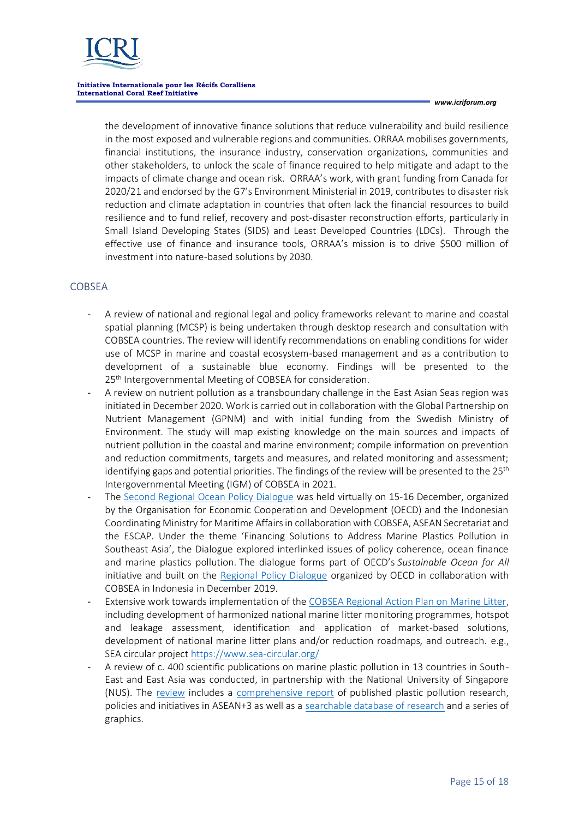

*www.icriforum.org*

the development of innovative finance solutions that reduce vulnerability and build resilience in the most exposed and vulnerable regions and communities. ORRAA mobilises governments, financial institutions, the insurance industry, conservation organizations, communities and other stakeholders, to unlock the scale of finance required to help mitigate and adapt to the impacts of climate change and ocean risk. ORRAA's work, with grant funding from Canada for 2020/21 and endorsed by the G7's Environment Ministerial in 2019, contributes to disaster risk reduction and climate adaptation in countries that often lack the financial resources to build resilience and to fund relief, recovery and post-disaster reconstruction efforts, particularly in Small Island Developing States (SIDS) and Least Developed Countries (LDCs). Through the effective use of finance and insurance tools, ORRAA's mission is to drive \$500 million of investment into nature-based solutions by 2030.

### **COBSEA**

- A review of national and regional legal and policy frameworks relevant to marine and coastal spatial planning (MCSP) is being undertaken through desktop research and consultation with COBSEA countries. The review will identify recommendations on enabling conditions for wider use of MCSP in marine and coastal ecosystem-based management and as a contribution to development of a sustainable blue economy. Findings will be presented to the 25<sup>th</sup> Intergovernmental Meeting of COBSEA for consideration.
- A review on nutrient pollution as a transboundary challenge in the East Asian Seas region was initiated in December 2020. Work is carried out in collaboration with the Global Partnership on Nutrient Management (GPNM) and with initial funding from the Swedish Ministry of Environment. The study will map existing knowledge on the main sources and impacts of nutrient pollution in the coastal and marine environment; compile information on prevention and reduction commitments, targets and measures, and related monitoring and assessment; identifying gaps and potential priorities. The findings of the review will be presented to the  $25<sup>th</sup>$ Intergovernmental Meeting (IGM) of COBSEA in 2021.
- The [Second Regional Ocean Policy Dialogue](https://cobsea.us4.list-manage.com/track/click?u=48c4e07b93b4627951f96ab06&id=2582a175c5&e=7218ca3c51) was held virtually on 15-16 December, organized by the Organisation for Economic Cooperation and Development (OECD) and the Indonesian Coordinating Ministry for Maritime Affairs in collaboration with COBSEA, ASEAN Secretariat and the ESCAP. Under the theme 'Financing Solutions to Address Marine Plastics Pollution in Southeast Asia', the Dialogue explored interlinked issues of policy coherence, ocean finance and marine plastics pollution. The dialogue forms part of OECD's *Sustainable Ocean for All* initiative and built on the [Regional Policy Dialogue](https://cobsea.us4.list-manage.com/track/click?u=48c4e07b93b4627951f96ab06&id=ad65e7bf7e&e=7218ca3c51) organized by OECD in collaboration with COBSEA in Indonesia in December 2019.
- Extensive work towards implementation of th[e COBSEA Regional Action Plan on Marine Litter,](https://www.unenvironment.org/cobsea/resources/policy-and-strategy/cobsea-regional-action-plan-marine-litter-2019-rap-mali) including development of harmonized national marine litter monitoring programmes, hotspot and leakage assessment, identification and application of market-based solutions, development of national marine litter plans and/or reduction roadmaps, and outreach. e.g., SEA circular project<https://www.sea-circular.org/>
- A review of c. 400 scientific publications on marine plastic pollution in 13 countries in South-East and East Asia was conducted, in partnership with the National University of Singapore (NUS). The [review](https://cobsea.us4.list-manage.com/track/click?u=48c4e07b93b4627951f96ab06&id=834627fe91&e=7218ca3c51) includes a [comprehensive report](https://cobsea.us4.list-manage.com/track/click?u=48c4e07b93b4627951f96ab06&id=077f78c62f&e=7218ca3c51) of published plastic pollution research, policies and initiatives in ASEAN+3 as well as a [searchable database of research](https://cobsea.us4.list-manage.com/track/click?u=48c4e07b93b4627951f96ab06&id=0ed2d7428c&e=7218ca3c51) and a series of graphics.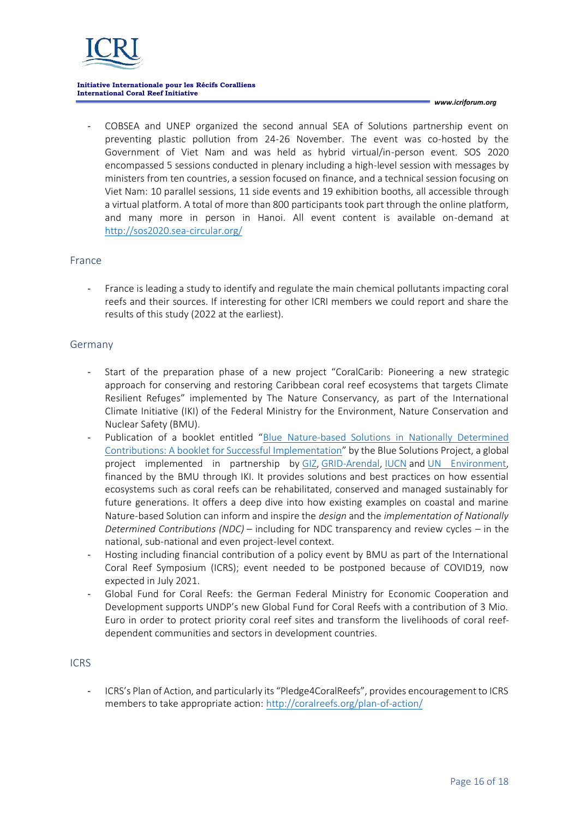

*www.icriforum.org*

- COBSEA and UNEP organized the second annual SEA of Solutions partnership event on preventing plastic pollution from 24-26 November. The event was co-hosted by the Government of Viet Nam and was held as hybrid virtual/in-person event. SOS 2020 encompassed 5 sessions conducted in plenary including a high-level session with messages by ministers from ten countries, a session focused on finance, and a technical session focusing on Viet Nam: 10 parallel sessions, 11 side events and 19 exhibition booths, all accessible through a virtual platform. A total of more than 800 participants took part through the online platform, and many more in person in Hanoi. All event content is available on-demand at <http://sos2020.sea-circular.org/>

### France

- France is leading a study to identify and regulate the main chemical pollutants impacting coral reefs and their sources. If interesting for other ICRI members we could report and share the results of this study (2022 at the earliest).

### Germany

- Start of the preparation phase of a new project "CoralCarib: Pioneering a new strategic approach for conserving and restoring Caribbean coral reef ecosystems that targets Climate Resilient Refuges" implemented by The Nature Conservancy, as part of the International Climate Initiative (IKI) of the Federal Ministry for the Environment, Nature Conservation and Nuclear Safety (BMU).
- Publication of a booklet entitled "Blue Nature-based Solutions in Nationally Determined [Contributions: A booklet for Successful Implementation](https://gridarendal-website-live.s3.amazonaws.com/production/documents/:s_document/610/original/NbS_in_NDCs._A_Booklet_for_Successful_Implementation.pdf?1606858312)" by the Blue Solutions Project, a global project implemented in partnership by [GIZ,](https://www.giz.de/en/html/index.html) [GRID-Arendal,](https://www.grida.no/) [IUCN](https://www.iucn.org/) and [UN Environment,](https://www.unep.org/) financed by the BMU through IKI. It provides solutions and best practices on how essential ecosystems such as coral reefs can be rehabilitated, conserved and managed sustainably for future generations. It offers a deep dive into how existing examples on coastal and marine Nature-based Solution can inform and inspire the *design* and the *implementation of Nationally Determined Contributions (NDC)* – including for NDC transparency and review cycles – in the national, sub-national and even project-level context.
- Hosting including financial contribution of a policy event by BMU as part of the International Coral Reef Symposium (ICRS); event needed to be postponed because of COVID19, now expected in July 2021.
- Global Fund for Coral Reefs: the German Federal Ministry for Economic Cooperation and Development supports UNDP's new Global Fund for Coral Reefs with a contribution of 3 Mio. Euro in order to protect priority coral reef sites and transform the livelihoods of coral reefdependent communities and sectors in development countries.

### ICRS

- ICRS's Plan of Action, and particularly its "Pledge4CoralReefs", provides encouragement to ICRS members to take appropriate action[: http://coralreefs.org/plan-of-action/](http://coralreefs.org/plan-of-action/)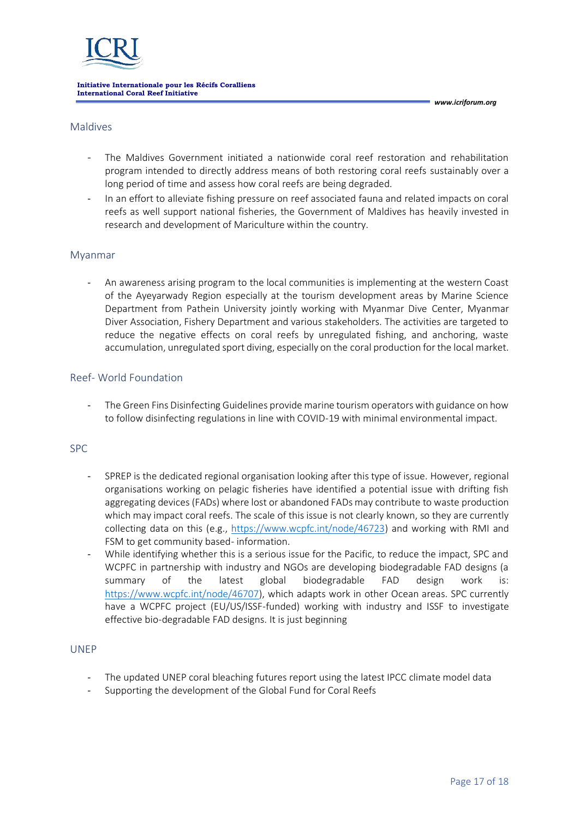*www.icriforum.org*

### Maldives

- The Maldives Government initiated a nationwide coral reef restoration and rehabilitation program intended to directly address means of both restoring coral reefs sustainably over a long period of time and assess how coral reefs are being degraded.
- In an effort to alleviate fishing pressure on reef associated fauna and related impacts on coral reefs as well support national fisheries, the Government of Maldives has heavily invested in research and development of Mariculture within the country.

### Myanmar

- An awareness arising program to the local communities is implementing at the western Coast of the Ayeyarwady Region especially at the tourism development areas by Marine Science Department from Pathein University jointly working with Myanmar Dive Center, Myanmar Diver Association, Fishery Department and various stakeholders. The activities are targeted to reduce the negative effects on coral reefs by unregulated fishing, and anchoring, waste accumulation, unregulated sport diving, especially on the coral production for the local market.

### Reef- World Foundation

The Green Fins Disinfecting Guidelines provide marine tourism operators with guidance on how to follow disinfecting regulations in line with COVID-19 with minimal environmental impact.

### SPC

- SPREP is the dedicated regional organisation looking after this type of issue. However, regional organisations working on pelagic fisheries have identified a potential issue with drifting fish aggregating devices (FADs) where lost or abandoned FADs may contribute to waste production which may impact coral reefs. The scale of this issue is not clearly known, so they are currently collecting data on this (e.g., [https://www.wcpfc.int/node/46723\)](https://www.wcpfc.int/node/46723) and working with RMI and FSM to get community based- information.
- While identifying whether this is a serious issue for the Pacific, to reduce the impact, SPC and WCPFC in partnership with industry and NGOs are developing biodegradable FAD designs (a summary of the latest global biodegradable FAD design work [https://www.wcpfc.int/node/46707\)](https://www.wcpfc.int/node/46707), which adapts work in other Ocean areas. SPC currently have a WCPFC project (EU/US/ISSF-funded) working with industry and ISSF to investigate effective bio-degradable FAD designs. It is just beginning

### UNEP

- The updated UNEP coral bleaching futures report using the latest IPCC climate model data
- Supporting the development of the Global Fund for Coral Reefs